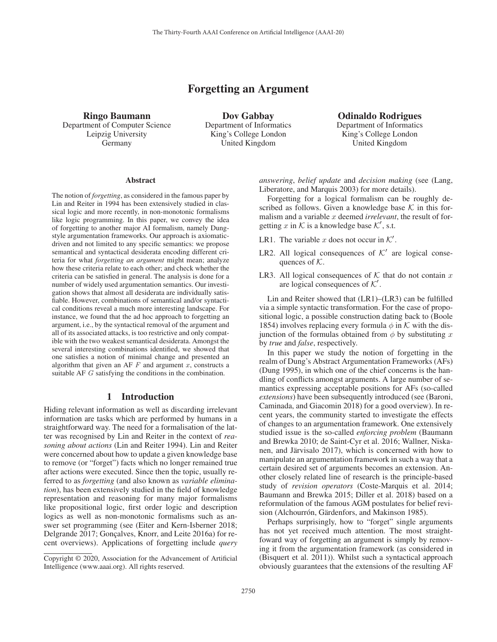# Forgetting an Argument

Ringo Baumann Department of Computer Science Leipzig University Germany

Dov Gabbay Department of Informatics King's College London United Kingdom

Odinaldo Rodrigues Department of Informatics King's College London United Kingdom

#### **Abstract**

The notion of *forgetting*, as considered in the famous paper by Lin and Reiter in 1994 has been extensively studied in classical logic and more recently, in non-monotonic formalisms like logic programming. In this paper, we convey the idea of forgetting to another major AI formalism, namely Dungstyle argumentation frameworks. Our approach is axiomaticdriven and not limited to any specific semantics: we propose semantical and syntactical desiderata encoding different criteria for what *forgetting an argument* might mean; analyze how these criteria relate to each other; and check whether the criteria can be satisfied in general. The analysis is done for a number of widely used argumentation semantics. Our investigation shows that almost all desiderata are individually satisfiable. However, combinations of semantical and/or syntactical conditions reveal a much more interesting landscape. For instance, we found that the ad hoc approach to forgetting an argument, i.e., by the syntactical removal of the argument and all of its associated attacks, is too restrictive and only compatible with the two weakest semantical desiderata. Amongst the several interesting combinations identified, we showed that one satisfies a notion of minimal change and presented an algorithm that given an AF  $F$  and argument  $x$ , constructs a suitable AF G satisfying the conditions in the combination.

### 1 Introduction

Hiding relevant information as well as discarding irrelevant information are tasks which are performed by humans in a straightforward way. The need for a formalisation of the latter was recognised by Lin and Reiter in the context of *reasoning about actions* (Lin and Reiter 1994). Lin and Reiter were concerned about how to update a given knowledge base to remove (or "forget") facts which no longer remained true after actions were executed. Since then the topic, usually referred to as *forgetting* (and also known as *variable elimination*), has been extensively studied in the field of knowledge representation and reasoning for many major formalisms like propositional logic, first order logic and description logics as well as non-monotonic formalisms such as answer set programming (see (Eiter and Kern-Isberner 2018; Delgrande 2017; Gonçalves, Knorr, and Leite 2016a) for recent overviews). Applications of forgetting include *query*

*answering*, *belief update* and *decision making* (see (Lang, Liberatore, and Marquis 2003) for more details).

Forgetting for a logical formalism can be roughly described as follows. Given a knowledge base  $K$  in this formalism and a variable x deemed *irrelevant*, the result of forgetting x in K is a knowledge base  $K'$ , s.t.

- LR1. The variable x does not occur in  $K'$ .
- LR2. All logical consequences of  $K'$  are logical consequences of  $K$ .
- LR3. All logical consequences of  $K$  that do not contain x are logical consequences of  $K'$ .

Lin and Reiter showed that (LR1)–(LR3) can be fulfilled via a simple syntactic transformation. For the case of propositional logic, a possible construction dating back to (Boole 1854) involves replacing every formula  $\phi$  in K with the disjunction of the formulas obtained from  $\phi$  by substituting x by *true* and *false*, respectively.

In this paper we study the notion of forgetting in the realm of Dung's Abstract Argumentation Frameworks (AFs) (Dung 1995), in which one of the chief concerns is the handling of conflicts amongst arguments. A large number of semantics expressing acceptable positions for AFs (so-called *extensions*) have been subsequently introduced (see (Baroni, Caminada, and Giacomin 2018) for a good overview). In recent years, the community started to investigate the effects of changes to an argumentation framework. One extensively studied issue is the so-called *enforcing problem* (Baumann and Brewka 2010; de Saint-Cyr et al. 2016; Wallner, Niskanen, and Järvisalo 2017), which is concerned with how to manipulate an argumentation framework in such a way that a certain desired set of arguments becomes an extension. Another closely related line of research is the principle-based study of *revision operators* (Coste-Marquis et al. 2014; Baumann and Brewka 2015; Diller et al. 2018) based on a reformulation of the famous AGM postulates for belief revision (Alchourrón, Gärdenfors, and Makinson 1985).

Perhaps surprisingly, how to "forget" single arguments has not yet received much attention. The most straightfoward way of forgetting an argument is simply by removing it from the argumentation framework (as considered in (Bisquert et al. 2011)). Whilst such a syntactical approach obviously guarantees that the extensions of the resulting AF

Copyright © 2020, Association for the Advancement of Artificial Intelligence (www.aaai.org). All rights reserved.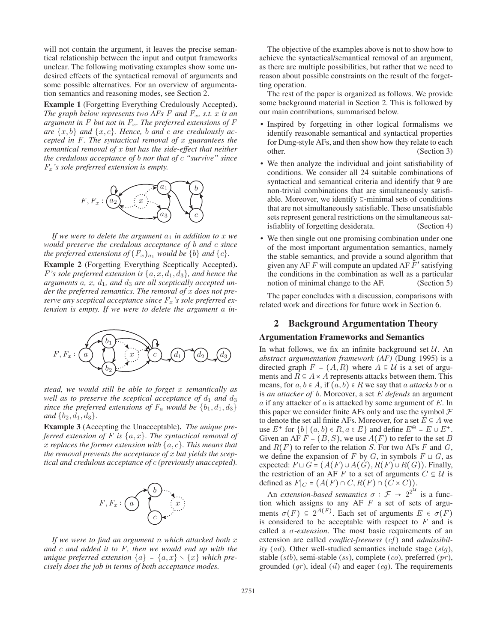will not contain the argument, it leaves the precise semantical relationship between the input and output frameworks unclear. The following motivating examples show some undesired effects of the syntactical removal of arguments and some possible alternatives. For an overview of argumentation semantics and reasoning modes, see Section 2.

Example 1 (Forgetting Everything Credulously Accepted). *The graph below represents two AFs*  $F$  *and*  $F_x$ *, s.t.*  $x$  *is an argument in*  $F$  *but not in*  $F_x$ *. The preferred extensions of*  $F$ are  $\{x, b\}$  and  $\{x, c\}$ *. Hence, b and c are credulously accepted in F. The syntactical removal of* x *guarantees the semantical removal of* x *but has the side-effect that neither the credulous acceptance of* b *nor that of* c *"survive" since F*x*'s sole preferred extension is empty.*



*If we were to delete the argument*  $a_1$  *in addition to*  $x$  *we would preserve the credulous acceptance of* b *and* c *since the preferred extensions of*  $(F_x)_{a_1}$  *would be*  $\{b\}$  *and*  $\{c\}$ *.* 

Example 2 (Forgetting Everything Sceptically Accepted). *F*'s sole preferred extension is  $\{a, x, d_1, d_3\}$ , and hence the arguments  $a, x, d_1,$  and  $d_3$  are all sceptically accepted un*der the preferred semantics. The removal of* x *does not preserve any sceptical acceptance since F*x*'s sole preferred extension is empty. If we were to delete the argument* a *in-*



*stead, we would still be able to forget* x *semantically as well as to preserve the sceptical acceptance of*  $d_1$  *and*  $d_3$ *since the preferred extensions of*  $F_a$  *would be*  $\{b_1, d_1, d_3\}$ *and*  $\{b_2, d_1, d_3\}$ *.* 

Example 3 (Accepting the Unacceptable). *The unique preferred extension of F is* {a, x}*. The syntactical removal of* x *replaces the former extension with* {a, c}*. This means that the removal prevents the acceptance of* x *but yields the sceptical and credulous acceptance of* c *(previously unaccepted).*



*If we were to find an argument* n *which attacked both* x *and* c *and added it to F, then we would end up with the unique preferred extension*  $\{a\} = \{a, x\} \setminus \{x\}$  *which precisely does the job in terms of both acceptance modes.*

The objective of the examples above is not to show how to achieve the syntactical/semantical removal of an argument, as there are multiple possibilities, but rather that we need to reason about possible constraints on the result of the forgetting operation.

The rest of the paper is organized as follows. We provide some background material in Section 2. This is followed by our main contributions, summarised below.

- Inspired by forgetting in other logical formalisms we identify reasonable semantical and syntactical properties for Dung-style AFs, and then show how they relate to each other. (Section 3)
- We then analyze the individual and joint satisfiability of conditions. We consider all 24 suitable combinations of syntactical and semantical criteria and identify that 9 are non-trivial combinations that are simultaneously satisfiable. Moreover, we identify ⊆-minimal sets of conditions that are not simultaneously satisfiable. These unsatisfiable sets represent general restrictions on the simultaneous satisfiablity of forgetting desiderata. (Section 4)
- We then single out one promising combination under one of the most important argumentation semantics, namely the stable semantics, and provide a sound algorithm that given any AF  $F$  will compute an updated AF  $F'$  satisfying the conditions in the combination as well as a particular notion of minimal change to the AF. (Section 5)

The paper concludes with a discussion, comparisons with related work and directions for future work in Section 6.

# 2 Background Argumentation Theory

### Argumentation Frameworks and Semantics

In what follows, we fix an infinite background set  $U$ . An *abstract argumentation framework (AF)* (Dung 1995) is a directed graph  $F = (A, R)$  where  $A \subseteq U$  is a set of arguments and  $R \subseteq A \times A$  represents attacks between them. This means, for  $a, b \in A$ , if  $(a, b) \in R$  we say that a *attacks* b or a is *an attacker of* b. Moreover, a set E *defends* an argument  $a$  if any attacker of  $a$  is attacked by some argument of  $E$ . In this paper we consider finite AFs only and use the symbol  $\mathcal F$ to denote the set all finite AFs. Moreover, for a set  $E \subseteq A$  we use  $E^+$  for  $\{b \mid (a, b) \in R, a \in E\}$  and define  $E^{\oplus} = E \cup E^+$ . Given an AF  $F = (B, S)$ , we use  $A(F)$  to refer to the set B and R(F) to refer to the relation S. For two AFs *F* and *G*, we define the expansion of *F* by *G*, in symbols  $F \sqcup G$ , as expected:  $F \sqcup G = (A(F) \cup A(G), R(F) \cup R(G))$ . Finally, the restriction of an AF *F* to a set of arguments  $C \subseteq U$  is defined as  $F|_C = (A(F) \cap C, R(F) \cap (\tilde{C} \times C)).$ 

An *extension-based semantics*  $\sigma : \mathcal{F} \to 2^{2^{\mathcal{U}}}$  is a function which assigns to any AF *F* a set of sets of arguments  $\sigma(F) \subseteq 2^{A(F)}$ . Each set of arguments  $E \in \sigma(F)$ is considered to be acceptable with respect to *F* and is called a σ-*extension*. The most basic requirements of an extension are called *conflict-freeness* (*cf* ) and *admissibility* (*ad*). Other well-studied semantics include stage (*stg*), stable (*stb*), semi-stable (*ss*), complete (*co*), preferred (*pr* ), grounded (*gr* ), ideal (*il*) and eager (*eg*). The requirements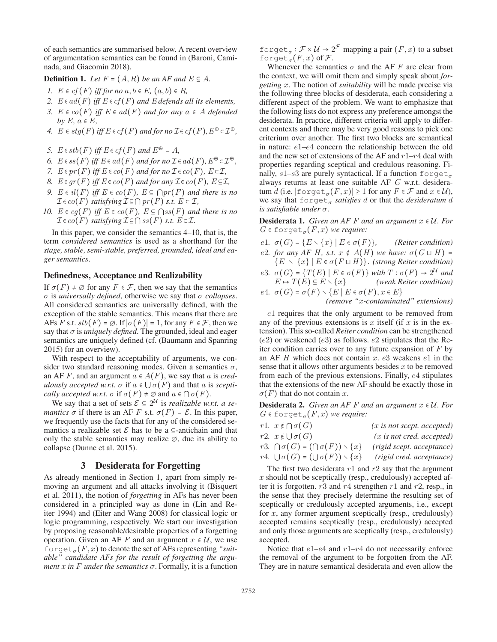of each semantics are summarised below. A recent overview of argumentation semantics can be found in (Baroni, Caminada, and Giacomin 2018).

**Definition 1.** *Let*  $F = (A, R)$  *be an AF and*  $E \subseteq A$ *.* 

- *I.*  $E \in cf(F)$  *iff for no*  $a, b \in E$ ,  $(a, b) \in R$ ,
- *2.*  $E \in ad(F)$  *iff*  $E \in cf(F)$  *and*  $E$  *defends all its elements,*
- *3.*  $E ∈ co(F)$  *iff*  $E ∈ ad(F)$  *and for any*  $a ∈ A$  *defended by*  $E, a \in E$ *,*
- *4.*  $E \in stq(F)$  *iff*  $E \in cf(F)$  *and for no*  $I \in cf(F)$ *,*  $E^{\oplus} \subset \mathcal{I}^{\oplus}$ *,*
- *5.*  $E \in stb(F)$  *iff*  $E \in cf(F)$  *and*  $E^{\oplus} = A$ *,*
- *6.*  $E \in ss(F)$  *iff*  $E \in ad(F)$  *and for no*  $\mathcal{I} \in ad(F)$ *,*  $E^{\oplus} \subset \mathcal{I}^{\oplus}$ *,*
- *7.*  $E ∈ pr(F)$  *iff*  $E ∈ co(F)$  *and for no*  $I ∈ co(F)$ *,*  $E ⊂ I$ *,*
- *8.*  $E \in gr(F)$  *iff*  $E \in co(F)$  *and for any*  $\mathcal{I} \in co(F)$ *,*  $E \subseteq \mathcal{I}$ *,*
- *9.*  $E ∈ i l(F)$  *iff*  $E ∈ co(F)$ *,*  $E ⊆ ∩ pr(F)$  *and there is no*  $\mathcal{I} \in co(F)$  *satisfying*  $\mathcal{I} \subseteq \bigcap pr(F)$  *s.t.*  $E \subset \mathcal{I}$ *,*
- *10.*  $E \in eq(F)$  *iff*  $E \in co(F)$ *,*  $E \subseteq \bigcap ss(F)$  *and there is no*  $\mathcal{I} \in co(F)$  *satisfying*  $\mathcal{I} \subseteq \bigcap ss(F)$  *s.t.*  $E \subset \mathcal{I}$ .

In this paper, we consider the semantics 4–10, that is, the term *considered semantics* is used as a shorthand for the *stage, stable, semi-stable, preferred, grounded, ideal and eager semantics*.

#### Definedness, Acceptance and Realizability

If  $\sigma(F) \neq \emptyset$  for any  $F \in \mathcal{F}$ , then we say that the semantics σ is *universally defined*, otherwise we say that σ *collapses*. All considered semantics are universally defined, with the exception of the stable semantics. This means that there are AFs *F* s.t.  $stb(F) = \emptyset$ . If  $|\sigma(F)| = 1$ , for any  $F \in \mathcal{F}$ , then we say that  $\sigma$  is *uniquely defined*. The grounded, ideal and eager semantics are uniquely defined (cf. (Baumann and Spanring 2015) for an overview).

With respect to the acceptability of arguments, we consider two standard reasoning modes. Given a semantics  $\sigma$ , an AF F, and an argument  $a \in A(F)$ , we say that a is *credulously accepted w.r.t.*  $\sigma$  if  $a \in \bigcup \sigma(F)$  and that a is *sceptically accepted w.r.t.*  $\sigma$  if  $\sigma(F) \neq \emptyset$  and  $a \in \bigcap \sigma(F)$ .

We say that a set of sets  $\mathcal{E} \subseteq 2^U$  is *realizable w.r.t. a semantics*  $\sigma$  if there is an AF *F* s.t.  $\sigma(F) = \mathcal{E}$ . In this paper, we frequently use the facts that for any of the considered semantics a realizable set  $\mathcal E$  has to be a ⊆-antichain and that only the stable semantics may realize  $\varnothing$ , due its ability to collapse (Dunne et al. 2015).

## 3 Desiderata for Forgetting

As already mentioned in Section 1, apart from simply removing an argument and all attacks involving it (Bisquert et al. 2011), the notion of *forgetting* in AFs has never been considered in a principled way as done in (Lin and Reiter 1994) and (Eiter and Wang 2008) for classical logic or logic programming, respectively. We start our investigation by proposing reasonable/desirable properties of a forgetting operation. Given an AF *F* and an argument  $x \in U$ , we use for  $\det_{\sigma}(F, x)$  to denote the set of AFs representing "suit*able" candidate AFs for the result of forgetting the argument*  $x$  *in*  $F$  *under the semantics*  $\sigma$ . Formally, it is a function

for qet<sub> $\sigma$ </sub> :  $\mathcal{F} \times \mathcal{U} \to 2^{\mathcal{F}}$  mapping a pair  $(F, x)$  to a subset forget<sub> $\sigma$ </sub> $(F, x)$  of  $\mathcal{F}$ .

Whenever the semantics  $\sigma$  and the AF *F* are clear from the context, we will omit them and simply speak about *forgetting* x. The notion of *suitability* will be made precise via the following three blocks of desiderata, each considering a different aspect of the problem. We want to emphasize that the following lists do not express any preference amongst the desiderata. In practice, different criteria will apply to different contexts and there may be very good reasons to pick one criterium over another. The first two blocks are semantical in nature: e1–e4 concern the relationship between the old and the new set of extensions of the AF and  $r1-r4$  deal with properties regarding sceptical and credulous reasoning. Finally, s1–s3 are purely syntactical. If a function  $\text{forget}_{\sigma}$ always returns at least one suitable AF *G* w.r.t. desideratum *d* (i.e.  $|$  for get<sub> $\sigma$ </sub> $(F, x)| \ge 1$  for any  $F \in \mathcal{F}$  and  $x \in \mathcal{U}$ ), we say that  $\text{forget}_{\sigma}$  *satisfies* d or that the *desideratum* d *is satisfiable under* σ.

**Desiderata 1.** *Given an AF F and an argument*  $x \in U$ *. For*  $G \in \text{forget}_{\sigma}(F, x)$  *we require:* 

- e1*.*  $\sigma(G) = \{E \setminus \{x\} \mid E \in \sigma(F)\},\qquad$  (Reiter condition)
- e2*.* for any AF H, s.t.  $x \notin A(H)$  we have:  $\sigma(G \sqcup H) =$ {E ∖ {x} ∣ E ∈ σ(*F* ⊔ *H* )}. *(strong Reiter condition)*
- e3.  $\sigma(G) = \{T(E) | E \in \sigma(F) \}$  *with*  $T : \sigma(F) \to 2^U$  *and*<br> $E \mapsto T(E) \subseteq E \setminus \{x\}$  *(weak Reiter condition)* E ↦ T(E) ⊆ E ∖ {x} *(weak Reiter condition)*

e4*.*  $\sigma(G) = \sigma(F) \setminus \{E \mid E \in \sigma(F), x \in E\}$ *(remove "*x*-contaminated" extensions)*

e1 requires that the only argument to be removed from any of the previous extensions is x itself (if x is in the extension). This so-called *Reiter condition* can be strengthened  $(e2)$  or weakened  $(e3)$  as follows.  $e2$  stipulates that the Reiter condition carries over to any future expansion of *F* by an AF  $H$  which does not contain  $x$ .  $e3$  weakens  $e1$  in the sense that it allows other arguments besides  $x$  to be removed from each of the previous extensions. Finally, e4 stipulates that the extensions of the new AF should be exactly those in  $\sigma(F)$  that do not contain x.

**Desiderata 2.** *Given an AF F and an argument*  $x \in U$ *. For*  $G \in \text{forget}_{\sigma}(F, x)$  *we require:* 

| r1. $x \notin \bigcap \sigma(G)$                              | $(x$ is not scept. accepted) |
|---------------------------------------------------------------|------------------------------|
| r2. $x \notin \bigcup \sigma(G)$                              | $(x$ is not cred. accepted)  |
| r3. $\bigcap \sigma(G) = (\bigcap \sigma(F)) \setminus \{x\}$ | (rigid scept. acceptance)    |
| r4. $\bigcup \sigma(G) = (\bigcup \sigma(F)) \setminus \{x\}$ | (rigid cred. acceptance)     |

The first two desiderata  $r1$  and  $r2$  say that the argument  $x$  should not be sceptically (resp., credulously) accepted after it is forgotten.  $r3$  and  $r4$  strengthen  $r1$  and  $r2$ , resp., in the sense that they precisely determine the resulting set of sceptically or credulously accepted arguments, i.e., except for  $x$ , any former argument sceptically (resp., credulously) accepted remains sceptically (resp., credulously) accepted and only those arguments are sceptically (resp., credulously) accepted.

Notice that  $e1-e4$  and  $r1-r4$  do not necessarily enforce the removal of the argument to be forgotten from the AF. They are in nature semantical desiderata and even allow the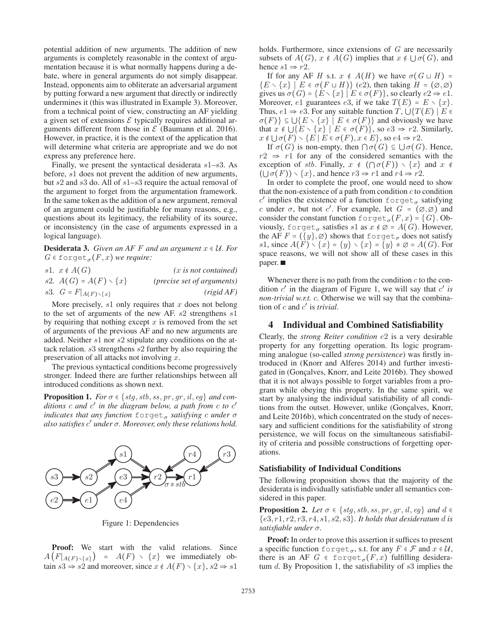potential addition of new arguments. The addition of new arguments is completely reasonable in the context of argumentation because it is what normally happens during a debate, where in general arguments do not simply disappear. Instead, opponents aim to obliterate an adversarial argument by putting forward a new argument that directly or indirectly undermines it (this was illustrated in Example 3). Moreover, from a technical point of view, constructing an AF yielding a given set of extensions  $\mathcal E$  typically requires additional arguments different from those in  $\mathcal E$  (Baumann et al. 2016). However, in practice, it is the context of the application that will determine what criteria are appropriate and we do not express any preference here.

Finally, we present the syntactical desiderata  $s1-s3$ . As before, s1 does not prevent the addition of new arguments, but s2 and s3 do. All of s1–s3 require the actual removal of the argument to forget from the argumentation framework. In the same token as the addition of a new argument, removal of an argument could be justifiable for many reasons, e.g., questions about its legitimacy, the reliability of its source, or inconsistency (in the case of arguments expressed in a logical language).

**Desiderata 3.** *Given an AF F and an argument*  $x \in U$ *. For*  $G \in \text{forget}_{\sigma}(F, x)$  *we require:* 

| sl. $x \notin A(G)$                 | $(x$ is not contained)              |
|-------------------------------------|-------------------------------------|
| s2. $A(G) = A(F) \setminus \{x\}$   | ( <i>precise set of arguments</i> ) |
| s3. $G = F _{A(F) \setminus \{x\}}$ | (rigid AF)                          |

More precisely,  $s1$  only requires that x does not belong to the set of arguments of the new AF. s2 strengthens s1 by requiring that nothing except  $x$  is removed from the set of arguments of the previous AF and no new arguments are added. Neither s1 nor s2 stipulate any conditions on the attack relation. s3 strengthens s2 further by also requiring the preservation of all attacks not involving x.

The previous syntactical conditions become progressively stronger. Indeed there are further relationships between all introduced conditions as shown next.

**Proposition 1.** *For*  $\sigma \in \{stg, stb, ss, pr, gr, il, eg\}$  *and conditions* c *and* c′ *in the diagram below, a path from* c *to* c′ *indicates that any function* forget<sub>σ</sub> *satisfying* c *under*  $\sigma$ *also satisfies* c′ *under* σ*. Moreover, only these relations hold.*



Figure 1: Dependencies

Proof: We start with the valid relations. Since  $A(F|_{A(F)\setminus\{x\}}) = A(F) \setminus \{x\}$  we immediately obtain  $s3 \Rightarrow s2$  and moreover, since  $x \notin A(F) \setminus \{x\}, s2 \Rightarrow s1$ 

holds. Furthermore, since extensions of *G* are necessarily subsets of  $A(G)$ ,  $x \notin A(G)$  implies that  $x \notin \bigcup \sigma(G)$ , and hence  $s1 \Rightarrow r2$ .

If for any AF *H* s.t.  $x \notin A(H)$  we have  $\sigma(G \sqcup H) =$  ${E \setminus \{x\} \mid E \in \sigma(F \sqcup H)} (e2)$ , then taking  $H = (\emptyset, \emptyset)$ gives us  $\sigma(G) = \{E \setminus \{x\} \mid E \in \sigma(F)\}\)$ , so clearly  $e2 \Rightarrow e1$ . Moreover, e1 guarantees e3, if we take  $T(E) = E \setminus \{x\}.$ Thus,  $e1 \Rightarrow e3$ . For any suitable function T,  $\bigcup \{T(E) \mid E \in \mathbb{R}\}$  $\sigma(F)$ }  $\subseteq \bigcup \{E \setminus \{x\} \mid E \in \sigma(F)\}\$  and obviously we have that  $x \notin \bigcup \{E \setminus \{x\} \mid E \in \sigma(F)\}\)$ , so  $e3 \Rightarrow r2$ . Similarly,  $x \notin \bigcup \sigma(F) \setminus \{E \mid E \in \sigma(F), x \in E\}$ , so  $e4 \Rightarrow r2$ .

If  $\sigma(G)$  is non-empty, then  $\cap \sigma(G) \subseteq \bigcup \sigma(G)$ . Hence,  $r2 \Rightarrow r1$  for any of the considered semantics with the exception of *stb*. Finally,  $x \notin (\bigcap \sigma(F)) \setminus \{x\}$  and  $x \notin \mathbb{R}$  $(\bigcup \sigma(F)) \setminus \{x\}$ , and hence  $r3 \Rightarrow r1$  and  $r4 \Rightarrow r2$ .

In order to complete the proof, one would need to show that the non-existence of a path from condition  $c$  to condition c' implies the existence of a function forget<sub> $\sigma$ </sub> satisfying c under  $\sigma$ , but not c'. For example, let  $G = (\emptyset, \emptyset)$  and consider the constant function  $\text{forget}_{\sigma}(F, x) = \{G\}$ . Obviously, forget<sub> $\sigma$ </sub> satisfies s1 as  $x \notin \emptyset = A(G)$ . However, the AF  $F = (\{y\}, \emptyset)$  shows that forget<sub> $\sigma$ </sub> does not satisfy *s*1, since  $A(F) \setminus \{x\} = \{y\} \setminus \{x\} = \{y\} \neq \emptyset = A(G)$ . For space reasons, we will not show all of these cases in this paper.

Whenever there is no path from the condition  $c$  to the condition  $c'$  in the diagram of Figure 1, we will say that  $c'$  *is non-trivial w.r.t.* c. Otherwise we will say that the combination of c and c′ is *trivial*.

## 4 Individual and Combined Satisfiability

Clearly, the *strong Reiter condition* e2 is a very desirable property for any forgetting operation. Its logic programming analogue (so-called *strong persistence*) was firstly introduced in (Knorr and Alferes 2014) and further investigated in (Goncalves, Knorr, and Leite 2016b). They showed that it is not always possible to forget variables from a program while obeying this property. In the same spirit, we start by analysing the individual satisfiability of all conditions from the outset. However, unlike (Gonçalves, Knorr, and Leite 2016b), which concentrated on the study of necessary and sufficient conditions for the satisfiability of strong persistence, we will focus on the simultaneous satisfiability of criteria and possible constructions of forgetting operations.

## Satisfiability of Individual Conditions

The following proposition shows that the majority of the desiderata is individually satisfiable under all semantics considered in this paper.

**Proposition 2.** *Let*  $\sigma \in \{stg, stb, ss, pr, gr, il, eg\}$  *and*  $d \in$ {e3, r1, r2, r3, r4, s1, s2, s3}*. It holds that desideratum* d *is satisfiable under* σ*.*

Proof: In order to prove this assertion it suffices to present a specific function forget<sub> $\sigma$ </sub>, s.t. for any  $F \in \mathcal{F}$  and  $x \in \mathcal{U}$ , there is an AF  $G \in \text{forget}_{\sigma}(F, x)$  fulfilling desideratum  $d$ . By Proposition 1, the satisfiability of  $s3$  implies the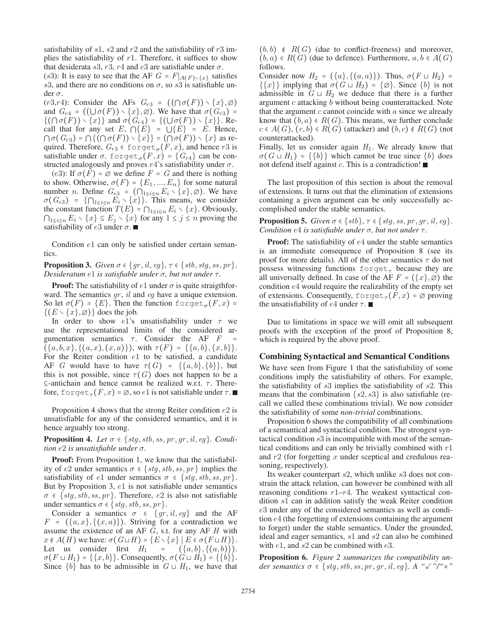satisfiability of s1, s2 and  $r2$  and the satisfiability of  $r3$  implies the satisfiability of  $r1$ . Therefore, it suffices to show that desiderata  $s3$ ,  $r3$ ,  $r4$  and  $e3$  are satisfiable under  $\sigma$ .

(s3): It is easy to see that the AF  $G = F|_{A(F) \setminus \{x\}}$  satisfies s3, and there are no conditions on  $\sigma$ , so s3 is satisfiable under  $\sigma$ .

(r3,r4): Consider the AFs  $G_{r3} = ((\bigcap \sigma(F)) \setminus \{x\}, \emptyset)$ and  $G_{r4}$  =  $((\bigcup \sigma(F)) \setminus \{x\}, \emptyset)$ . We have that  $\sigma(G_{r3})$  =  $\{(\bigcap \sigma(F)) \setminus \{x\}\}\$ and  $\sigma(G_{r4}) = \{(\bigcup \sigma(F)) \setminus \{x\}\}\.$  Recall that for any set  $E, \bigcap \{E\}$  =  $\bigcup \{E\}$  =  $E$ . Hence,  $\bigcap \sigma(G_{r3}) = \bigcap \{ (\bigcap \sigma(F)) \setminus \{x\} \} = (\bigcap \sigma(F)) \setminus \{x\}$  as required. Therefore,  $G_{r3} \in \text{forget}_{\sigma}(F, x)$ , and hence r3 is satisfiable under  $\sigma$ . forget<sub> $\sigma$ </sub> $(F, x)$  =  $\{G_{r4}\}$  can be constructed analogously and proves  $r4$ 's satisfiability under  $\sigma$ .

(e3): If  $\sigma(F) = \emptyset$  we define  $F = G$  and there is nothing to show. Otherwise,  $\sigma(F) = \{E_1, ..., E_n\}$  for some natural number *n*. Define  $G_{e3} = (\bigcap_{1 \leq i \leq n} E_i \setminus \{x\}, \emptyset)$ . We have  $\sigma(G_{e3}) = {\bigcap_{1 \le i \le n} E_i \setminus \{x\}\big}.$  This means, we consider the constant function  $T(E) = \bigcap_{1 \leq i \leq n} E_i \setminus \{x\}$ . Obviously,  $\bigcap_{1 \leq i \leq n} E_i \setminus \{x\} \subseteq E_j \setminus \{x\}$  for any  $1 \leq j \leq n$  proving the satisfiability of  $e3$  under  $\sigma$ .

Condition e1 can only be satisfied under certain semantics.

**Proposition 3.** *Given*  $\sigma \in \{qr, il, eq\}$ ,  $\tau \in \{stb, stq, ss, pr\}$ . *Desideratum*  $e1$  *is satisfiable under*  $\sigma$ *, but not under*  $\tau$ *.* 

**Proof:** The satisfiability of  $e1$  under  $\sigma$  is quite straigthforward. The semantics gr, il and eg have a unique extension. So let  $\sigma(F) = \{E\}$ . Then the function forget<sub> $\sigma(F, x)$ </sub> =  $\{(E \setminus \{x\}, \emptyset)\}\)$  does the job.

In order to show e1's unsatisfiability under  $\tau$  we use the representational limits of the considered argumentation semantics *τ*. Consider the AF *F*  $({a, b, x}, {a, x}, (x, a))$ , with  $\tau(F) = {a, b}, {x, b}.$ For the Reiter condition e1 to be satisfied, a candidate AF *G* would have to have  $\tau(G) = \{\{a,b\},\{b\}\}\$ , but this is not possible, since  $\tau(G)$  does not happen to be a  $\subseteq$ -antichain and hence cannot be realized w.r.t.  $\tau$ . Therefore, forget<sub> $\tau$ </sub> $(F, x) = \emptyset$ , so e1 is not satisfiable under  $\tau$ .

Proposition 4 shows that the strong Reiter condition e2 is unsatisfiable for any of the considered semantics, and it is hence arguably too strong.

**Proposition 4.** Let  $\sigma \in \{stg, stb, ss, pr, gr, il, eg\}$ . Condi*tion* e2 *is unsatisfiable under* σ*.*

Proof: From Proposition 1, we know that the satisfiability of e2 under semantics  $\sigma \in \{stg, stb, ss, pr\}$  implies the satisfiability of e1 under semantics  $\sigma \in \{stg, stb, ss, pr\}.$ But by Proposition 3, e1 is not satisfiable under semantics  $\sigma \in \{stg, stb, ss, pr\}$ . Therefore, e2 is also not satisfiable under semantics  $\sigma \in \{stg, stb, ss, pr\}.$ 

Consider a semantics  $\sigma \in \{gr, il, eg\}$  and the AF  $F = (\{a, x\}, \{(x, a)\})$ . Striving for a contradiction we assume the existence of an AF *G*, s.t. for any AF *H* with  $x \notin A(H)$  we have:  $\sigma(G \sqcup H) = \{E \setminus \{x\} \mid E \in \sigma(F \sqcup H)\}.$ Let us consider first  $H_1 = (\{a, b\}, \{(a, b)\})$ .  $\sigma(F \sqcup H_1) = \{\{x, b\}\}\$ . Consequently,  $\sigma(\widetilde{G} \sqcup \widetilde{H}_1) = \{\{\widetilde{b}\}\}\$ . Since  $\{b\}$  has to be admissible in  $G \sqcup H_1$ , we have that

 $(b, b) \notin R(G)$  (due to conflict-freeness) and moreover,  $(b, a) \in R(G)$  (due to defence). Furthermore,  $a, b \in A(G)$ follows.

Consider now  $H_2 = (\{a\}, \{(a, a)\})$ . Thus,  $\sigma(F \sqcup H_2) =$  $\{\{x\}\}\$ implying that  $\sigma(G \sqcup H_2) = \{\emptyset\}$ . Since  $\{b\}$  is not admissible in  $G \sqcup H_2$  we deduce that there is a further argument  $c$  attacking  $b$  without being counterattacked. Note that the argument  $c$  cannot coincide with  $a$  since we already know that  $(b, a) \in R(G)$ . This means, we further conclude  $c \in A(G)$ ,  $(c, b) \in R(G)$  (attacker) and  $(b, c) \notin R(G)$  (not counterattacked).

Finally, let us consider again  $H_1$ . We already know that  $\sigma(G \sqcup H_1) = \{\{b\}\}\$  which cannot be true since  $\{b\}$  does not defend itself against  $c$ . This is a contradiction!

The last proposition of this section is about the removal of extensions. It turns out that the elimination of extensions containing a given argument can be only successfully accomplished under the stable semantics.

**Proposition 5.** *Given*  $\sigma \in \{stb\}$ ,  $\tau \in \{stg, ss, pr, gr, il, eg\}$ . *Condition* e4 *is satisfiable under*  $\sigma$ *, but not under*  $\tau$ *.* 

**Proof:** The satisfiability of  $e4$  under the stable semantics is an immediate consequence of Proposition 8 (see its proof for more details). All of the other semantics  $\tau$  do not possess witnessing functions forget<sub>r</sub> because they are all universally defined. In case of the AF  $F = (\{x\}, \emptyset)$  the condition e4 would require the realizability of the empty set of extensions. Consequently, forget<sub> $\tau$ </sub> $(F, x) = \emptyset$  proving the unsatisfiability of  $e4$  under  $\tau$ .

Due to limitations in space we will omit all subsequent proofs with the exception of the proof of Proposition 8, which is required by the above proof.

### Combining Syntactical and Semantical Conditions

We have seen from Figure 1 that the satisfiability of some conditions imply the satisfiability of others. For example, the satisfiability of  $s3$  implies the satisfiability of  $s2$ . This means that the combination  $\{s2, s3\}$  is also satisfiable (recall we called these combinations trivial). We now consider the satisfiability of some *non-trivial* combinations.

Proposition 6 shows the compatibility of all combinations of a semantical and syntactical condition. The strongest syntactical condition s3 is incompatible with most of the semantical conditions and can only be trivially combined with  $r1$ and  $r2$  (for forgetting x under sceptical and credulous reasoning, respectively).

Its weaker counterpart s2, which unlike s3 does not constrain the attack relation, can however be combined with all reasoning conditions  $r1-r4$ . The weakest syntactical condition s1 can in addition satisfy the weak Reiter condition e3 under any of the considered semantics as well as condition e4 (the forgetting of extensions containing the argument to forget) under the stable semantics. Under the grounded, ideal and eager semantics, s1 and s2 can also be combined with  $e1$ , and  $s2$  can be combined with  $e3$ .

Proposition 6. *Figure 2 summarizes the compatibility under semantics*  $\sigma \in \{stg, stb, ss, pr, gr, il, eg\}$ . A " $\checkmark$ "/" $\times$ "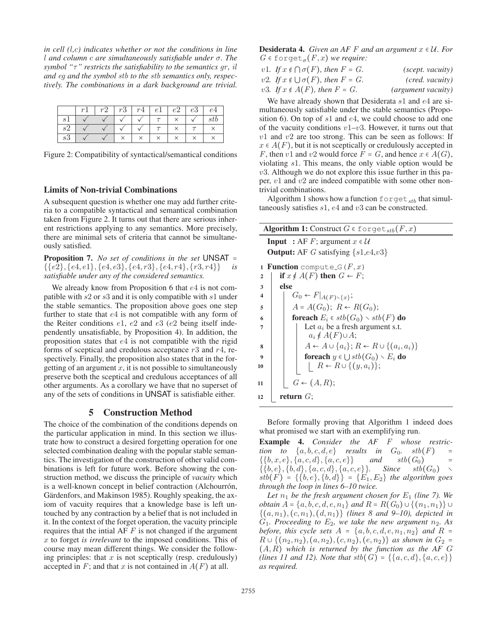*in cell (*l*,*c*) indicates whether or not the conditions in line* l *and column* c *are simultaneously satisfiable under* σ*. The symbol "*τ*" restricts the satisfiability to the semantics gr , il and eg and the symbol stb to the stb semantics only, respectively. The combinations in a dark background are trivial.*

|             |  | $r2 \mid r3 \mid r4 \mid e1 \mid e2 \mid e3 \mid$ |        |  |          |
|-------------|--|---------------------------------------------------|--------|--|----------|
| $-$ Q I $-$ |  |                                                   | $\tau$ |  | $_{stb}$ |
|             |  |                                                   |        |  |          |
|             |  |                                                   |        |  |          |

Figure 2: Compatibility of syntactical/semantical conditions

#### Limits of Non-trivial Combinations

A subsequent question is whether one may add further criteria to a compatible syntactical and semantical combination taken from Figure 2. It turns out that there are serious inherent restrictions applying to any semantics. More precisely, there are minimal sets of criteria that cannot be simultaneously satisfied.

Proposition 7. *No set of conditions in the set* UNSAT =  $\{\{e2\}, \{e4, e1\}, \{e4, e3\}, \{e4, r3\}, \{e4, r4\}, \{r3, r4\}\}\$ *is satisfiable under any of the considered semantics.*

We already know from Proposition 6 that  $e4$  is not compatible with s2 or s3 and it is only compatible with s1 under the stable semantics. The proposition above goes one step further to state that e4 is not compatible with any form of the Reiter conditions e1, e2 and e3 (e2 being itself independently unsatisfiable, by Proposition 4). In addition, the proposition states that e4 is not compatible with the rigid forms of sceptical and credulous acceptance  $r3$  and  $r4$ , respectively. Finally, the proposition also states that in the forgetting of an argument  $x$ , it is not possible to simultaneously preserve both the sceptical and credulous acceptances of all other arguments. As a corollary we have that no superset of any of the sets of conditions in UNSAT is satisfiable either.

### 5 Construction Method

The choice of the combination of the conditions depends on the particular application in mind. In this section we illustrate how to construct a desired forgetting operation for one selected combination dealing with the popular stable semantics. The investigation of the construction of other valid combinations is left for future work. Before showing the construction method, we discuss the principle of *vacuity* which is a well-known concept in belief contraction (Alchourrón, Gärdenfors, and Makinson 1985). Roughly speaking, the axiom of vacuity requires that a knowledge base is left untouched by any contraction by a belief that is not included in it. In the context of the forget operation, the vacuity principle requires that the intial AF *F* is not changed if the argument x to forget *is irrelevant* to the imposed conditions. This of course may mean different things. We consider the following principles: that  $x$  is not sceptically (resp. credulously) accepted in  $F$ ; and that x is not contained in  $A(F)$  at all.

**Desiderata 4.** *Given an AF F and an argument*  $x \in U$ *. For*  $G \in \text{forget}_{\sigma}(F, x)$  *we require:* 

| v1. If $x \notin \bigcap \sigma(F)$ , then $F = G$ . | (scept. vacuity)   |
|------------------------------------------------------|--------------------|
| v2. If $x \notin \bigcup \sigma(F)$ , then $F = G$ . | (cred. vacuity)    |
| v3. If $x \notin A(F)$ , then $F = G$ .              | (argument vacuity) |

We have already shown that Desiderata s1 and e4 are simultaneously satisfiable under the stable semantics (Proposition 6). On top of  $s1$  and  $e4$ , we could choose to add one of the vacuity conditions  $v1-v3$ . However, it turns out that  $v1$  and  $v2$  are too strong. This can be seen as follows: If  $x \in A(F)$ , but it is not sceptically or credulously accepted in *F*, then v1 and v2 would force  $F = G$ , and hence  $x \in A(G)$ , violating s1. This means, the only viable option would be  $v3$ . Although we do not explore this issue further in this paper, v1 and v2 are indeed compatible with some other nontrivial combinations.

Algorithm 1 shows how a function  $f$ orget  $_{sth}$  that simultaneously satisfies s1, e4 and v3 can be constructed.

|                  | <b>Algorithm 1:</b> Construct $G \in \text{forget}_{\text{stb}}(F, x)$         |
|------------------|--------------------------------------------------------------------------------|
|                  | <b>Input</b> : AF F; argument $x \in \mathcal{U}$                              |
|                  | <b>Output:</b> AF G satisfying $\{s1,e4,v3\}$                                  |
| 1                | <b>Function</b> compute $\mathcal{G}(F, x)$                                    |
| $\overline{2}$   | if $x \notin A(F)$ then $G \leftarrow F$ ;                                     |
| 3                | else                                                                           |
| $\boldsymbol{4}$ | $G_0 \leftarrow F _{A(F) \setminus \{x\}};$                                    |
| 5                | $A = A(G_0); R \leftarrow R(G_0);$                                             |
| 6                | <b>for<br/>each</b> $E_i \in stb(G_0) \setminus stb(F)$ do                     |
| 7                | Let $a_i$ be a fresh argument s.t.                                             |
|                  | $a_i \notin A(F) \cup A;$                                                      |
| 8                | $A \leftarrow A \cup \{a_i\}; R \leftarrow R \cup \{(a_i, a_i)\}\$             |
| $\boldsymbol{Q}$ | <b>foreach</b> $y \in \bigcup stb(G_0) \setminus E_i$ <b>do</b>                |
| 10               | $\left\{ \begin{array}{c} R \leftarrow R \cup \{(y,a_i)\};\end{array} \right.$ |
| 11               | $G \leftarrow (A, R);$                                                         |
| 12               | return $G$ ;                                                                   |

Before formally proving that Algorithm 1 indeed does what promised we start with an exemplifying run.

Example 4. *Consider the AF F whose restriction to*  $\{a, b, c, d, e\}$  *results in*  $G_0$ *. stb*(*F*) =  $\{\{b, x, e\}, \{a, c, d\}, \{a, c, e\}\}$  and  $stb(G_0)$  =  $\{\{b, e\}, \{b, d\}, \{a, c, d\}, \{a, c, e\}\}.$  *Since*  $stb(G_0) \sim$  $stb(F) = \{\{b, e\}, \{b, d\}\} = \{E_1, E_2\}$  *the algorithm goes through the loop in lines 6–10 twice.*

Let  $n_1$  be the fresh argument chosen for  $E_1$  *(line 7).* We *obtain*  $A = \{a, b, c, d, e, n_1\}$  *and*  $R = R(G_0) \cup \{(n_1, n_1)\} \cup$  $\{(a, n_1), (c, n_1), (d, n_1)\}\$  *(lines 8 and 9–10), depicted in*  $G_1$ *. Proceeding to*  $E_2$ *, we take the new argument*  $n_2$ *. As before, this cycle sets*  $A = \{a, b, c, d, e, n_1, n_2\}$  *and*  $R =$  $R ∪ { (n<sub>2</sub>, n<sub>2</sub>), (a, n<sub>2</sub>), (c, n<sub>2</sub>), (e, n<sub>2</sub>)}$  *as shown in*  $G<sub>2</sub> =$  $(A, R)$  which is returned by the function as the AF  $G$ *(lines 11 and 12). Note that*  $stb(G) = \{\{a, c, d\}, \{a, c, e\}\}\$ *as required.*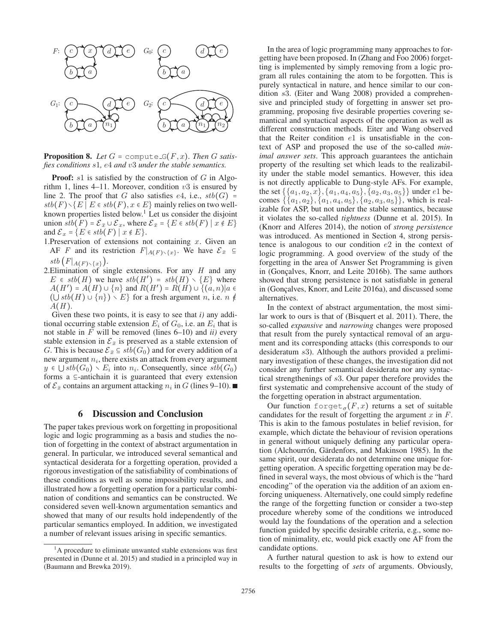

**Proposition 8.** Let  $G = \text{compute\_G}(F, x)$ . Then G satis*fies conditions* s1*,* e4 *and* v3 *under the stable semantics.*

**Proof:**  $s1$  is satisfied by the construction of  $G$  in Algorithm 1, lines 4–11. Moreover, condition  $v3$  is ensured by line 2. The proof that G also satisfies  $e4$ , i.e.,  $stb(G)$  =  $stb(F) \setminus \{E \mid E \in stb(F), x \in E\}$  mainly relies on two wellknown properties listed below.<sup>1</sup> Let us consider the disjoint union  $\overline{stb(F)} = \mathcal{E}_{\overline{x}} \cup \mathcal{E}_x$ , where  $\mathcal{E}_{\overline{x}} = \{E \in stb(F) \mid x \notin E\}$ and  $\mathcal{E}_x = \{E \in stb(F) \mid x \notin E\}.$ 

- 1. Preservation of extensions not containing  $x$ . Given an AF *F* and its restriction  $F|_{A(F) \setminus \{x\}}$ . We have  $\mathcal{E}_{\bar{x}} \subseteq$ *stb*  $(F|_{A(F) \setminus \{x\}})$ .
- 2.Elimination of single extensions. For any *H* and any  $E \in stb(H)$  we have  $stb(H') = stb(H) \setminus \{E\}$  where  $A(H') = A(H) \cup \{n\}$  and  $R(H') = R(H) \cup \{(a, n) | a \in$  $(\bigcup$ *stb* $(H) \cup \{n\}) \setminus E$  for a fresh argument *n*, i.e. *n*  $\notin$ A(*H* ).

Given these two points, it is easy to see that *i)* any additional occurring stable extension  $E_i$  of  $G_0$ , i.e. an  $E_i$  that is not stable in F will be removed (lines 6–10) and *ii)* every stable extension in  $\mathcal{E}_{\bar{x}}$  is preserved as a stable extension of G. This is because  $\mathcal{E}_{\bar{x}} \subseteq stb(G_0)$  and for every addition of a new argument  $n_i$ , there exists an attack from every argument y ∈  $\bigcup$  *stb*( $G_0$ )  $\setminus E_i$  into  $n_i$ . Consequently, since *stb*( $G_0$ ) forms a ⊆-antichain it is guaranteed that every extension of  $\mathcal{E}_{\bar{x}}$  contains an argument attacking  $n_i$  in G (lines 9–10).

# 6 Discussion and Conclusion

The paper takes previous work on forgetting in propositional logic and logic programming as a basis and studies the notion of forgetting in the context of abstract argumentation in general. In particular, we introduced several semantical and syntactical desiderata for a forgetting operation, provided a rigorous investigation of the satisfiability of combinations of these conditions as well as some impossibility results, and illustrated how a forgetting operation for a particular combination of conditions and semantics can be constructed. We considered seven well-known argumentation semantics and showed that many of our results hold independently of the particular semantics employed. In addition, we investigated a number of relevant issues arising in specific semantics.

In the area of logic programming many approaches to forgetting have been proposed. In (Zhang and Foo 2006) forgetting is implemented by simply removing from a logic program all rules containing the atom to be forgotten. This is purely syntactical in nature, and hence similar to our condition s3. (Eiter and Wang 2008) provided a comprehensive and principled study of forgetting in answer set programming, proposing five desirable properties covering semantical and syntactical aspects of the operation as well as different construction methods. Eiter and Wang observed that the Reiter condition  $e1$  is unsatisfiable in the context of ASP and proposed the use of the so-called *minimal answer sets*. This approach guarantees the antichain property of the resulting set which leads to the realizability under the stable model semantics. However, this idea is not directly applicable to Dung-style AFs. For example, the set  $\{\{a_1, a_2, x\}, \{a_1, a_4, a_5\}, \{a_2, a_3, a_5\}\}\$  under  $e1$  becomes  $\{\{a_1, a_2\}, \{a_1, a_4, a_5\}, \{a_2, a_3, a_5\}\}\,$ , which is realizable for ASP, but not under the stable semantics, because it violates the so-called *tightness* (Dunne et al. 2015). In (Knorr and Alferes 2014), the notion of *strong persistence* was introduced. As mentioned in Section 4, strong persistence is analogous to our condition  $e2$  in the context of logic programming. A good overview of the study of the forgetting in the area of Answer Set Programming is given in (Gonçalves, Knorr, and Leite 2016b). The same authors showed that strong persistence is not satisfiable in general in (Gonçalves, Knorr, and Leite 2016a), and discussed some alternatives.

In the context of abstract argumentation, the most similar work to ours is that of (Bisquert et al. 2011). There, the so-called *expansive* and *narrowing* changes were proposed that result from the purely syntactical removal of an argument and its corresponding attacks (this corresponds to our desideratum s3). Although the authors provided a preliminary investigation of these changes, the investigation did not consider any further semantical desiderata nor any syntactical strengthenings of s3. Our paper therefore provides the first systematic and comprehensive account of the study of the forgetting operation in abstract argumentation.

Our function forget<sub> $\sigma$ </sub> $(F, x)$  returns a set of suitable candidates for the result of forgetting the argument  $x$  in  $F$ . This is akin to the famous postulates in belief revision, for example, which dictate the behaviour of revision operations in general without uniquely defining any particular operation (Alchourrón, Gärdenfors, and Makinson 1985). In the same spirit, our desiderata do not determine one unique forgetting operation. A specific forgetting operation may be defined in several ways, the most obvious of which is the "hard encoding" of the operation via the addition of an axiom enforcing uniqueness. Alternatively, one could simply redefine the range of the forgetting function or consider a two-step procedure whereby some of the conditions we introduced would lay the foundations of the operation and a selection function guided by specific desirable criteria, e.g., some notion of minimality, etc, would pick exactly one AF from the candidate options.

A further natural question to ask is how to extend our results to the forgetting of *sets* of arguments. Obviously,

<sup>&</sup>lt;sup>1</sup>A procedure to eliminate unwanted stable extensions was first presented in (Dunne et al. 2015) and studied in a principled way in (Baumann and Brewka 2019).